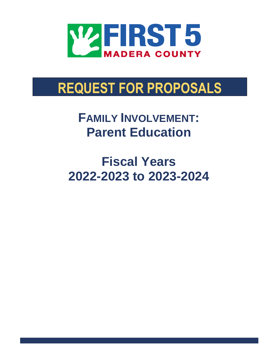

# **REQUEST FOR PROPOSALS**

 $FAMILY INVOLVEMENT$ **Parent Education**

**Fiscal Years 2022-2023 to 2023-2024**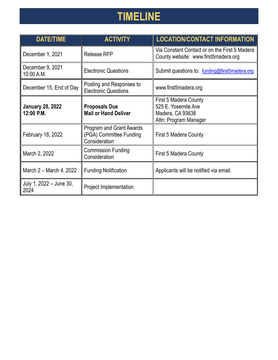# **TIMELINE**

| <b>DATE/TIME</b>                                            | <b>ACTIVITY</b>                                                             | <b>LOCATION/CONTACT INFORMATION</b>                                                       |
|-------------------------------------------------------------|-----------------------------------------------------------------------------|-------------------------------------------------------------------------------------------|
| December 1, 2021                                            | <b>Release RFP</b>                                                          | Via Constant Contact or on the First 5 Madera<br>County website: www.first5madera.org     |
| December 9, 2021<br>10:00 A.M.                              | <b>Electronic Questions</b>                                                 | Submit questions to: funding@first5madera.org                                             |
| December 15, End of Day                                     | Posting and Responses to<br><b>Electronic Questions</b>                     | www.first5madera.org                                                                      |
| <b>January 28, 2022</b><br>12:00 P.M.                       | <b>Proposals Due</b><br><b>Mail or Hand Deliver</b>                         | First 5 Madera County<br>525 E. Yosemite Ave<br>Madera, CA 93638<br>Attn: Program Manager |
| February 18, 2022                                           | <b>Program and Grant Awards</b><br>(PGA) Committee Funding<br>Consideration | First 5 Madera County                                                                     |
| <b>Commission Funding</b><br>March 2, 2022<br>Consideration |                                                                             | First 5 Madera County                                                                     |
| March 2 – March 4, 2022                                     | <b>Funding Notification</b>                                                 | Applicants will be notified via email.                                                    |
| July 1, 2022 - June 30,<br>2024                             | Project Implementation                                                      |                                                                                           |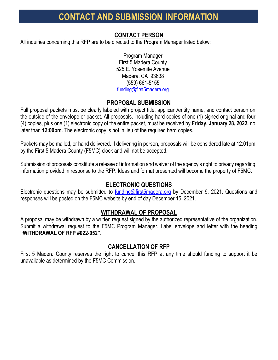## **CONTACT AND SUBMISSION INFORMATION**

## **CONTACT PERSON**

All inquiries concerning this RFP are to be directed to the Program Manager listed below:

Program Manager First 5 Madera County 525 E. Yosemite Avenue Madera, CA 93638 (559) 661-5155 [funding@first5madera.org](mailto:funding@first5madera.org)

## **PROPOSAL SUBMISSION**

Full proposal packets must be clearly labeled with project title, applicant/entity name, and contact person on the outside of the envelope or packet. All proposals, including hard copies of one (1) signed original and four (4) copies, plus one (1) electronic copy of the entire packet, must be received by **Friday, January 28, 2022,** no later than **12:00pm**. The electronic copy is not in lieu of the required hard copies.

Packets may be mailed, or hand delivered. If delivering in person, proposals will be considered late at 12:01pm by the First 5 Madera County (F5MC) clock and will not be accepted.

Submission of proposals constitute a release of information and waiver of the agency's right to privacy regarding information provided in response to the RFP. Ideas and format presented will become the property of F5MC.

## **ELECTRONIC QUESTIONS**

Electronic questions may be submitted to [funding@first5madera.org](mailto:funding@first5madera.org) by December 9, 2021. Questions and responses will be posted on the F5MC website by end of day December 15, 2021.

#### **WITHDRAWAL OF PROPOSAL**

A proposal may be withdrawn by a written request signed by the authorized representative of the organization. Submit a withdrawal request to the F5MC Program Manager. Label envelope and letter with the heading **"WITHDRAWAL OF RFP #022-052"**.

## **CANCELLATION OF RFP**

First 5 Madera County reserves the right to cancel this RFP at any time should funding to support it be unavailable as determined by the F5MC Commission.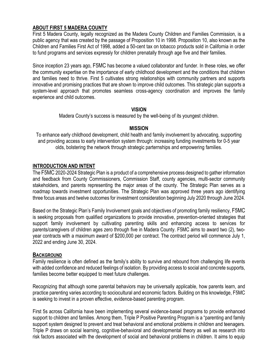#### **ABOUT FIRST 5 MADERA COUNTY**

First 5 Madera County, legally recognized as the Madera County Children and Families Commission, is a public agency that was created by the passage of Proposition 10 in 1998. Proposition 10, also known as the Children and Families First Act of 1998, added a 50-cent tax on tobacco products sold in California in order to fund programs and services expressly for children prenatally through age five and their families.

Since inception 23 years ago, F5MC has become a valued collaborator and funder. In these roles, we offer the community expertise on the importance of early childhood development and the conditions that children and families need to thrive. First 5 cultivates strong relationships with community partners and supports innovative and promising practices that are shown to improve child outcomes. This strategic plan supports a system-level approach that promotes seamless cross-agency coordination and improves the family experience and child outcomes.

#### **VISION**

Madera County's success is measured by the well-being of its youngest children.

#### **MISSION**

To enhance early childhood development, child health and family involvement by advocating, supporting and providing access to early intervention system through: increasing funding investments for 0-5 year olds, bolstering the network through strategic parternships and empowering families.

#### **INTRODUCTION AND INTENT**

The F5MC 2020-2024 Strategic Plan is a product of a comprehensive process designed to gather information and feedback from County Commissioners, Commission Staff, county agencies, multi-sector community stakeholders, and parents representing the major areas of the county. The Strategic Plan serves as a roadmap towards investment opportunities. The Strategic Plan was approved three years ago identifying three focus areas and twelve outcomes for investment consideration beginning July 2020 through June 2024.

Based on the Strategic Plan's Family Involvement goals and objectives of promoting family resiliency, F5MC is seeking proposals from qualified organizations to provide innovative, prevention-oriented strategies that support family involvement by cultivating parenting skills and enhancing access to services for parents/caregivers of children ages zero through five in Madera County. F5MC aims to award two (2), twoyear contracts with a maximum award of \$200,000 per contract. The contract period will commence July 1, 2022 and ending June 30, 2024.

#### **BACKGROUND**

Family resilience is often defined as the family's ability to survive and rebound from challenging life events with added confidence and reduced feelings of isolation. By providing access to social and concrete supports, families become better equipped to meet future challenges.

Recognizing that although some parental behaviors may be universally applicable, how parents learn, and practice parenting varies according to sociocultural and economic factors. Building on this knowledge, F5MC is seeking to invest in a proven effective, evidence-based parenting program.

First 5s across California have been implementing several evidence-based programs to provide enhanced support to children and families. Among them, Triple P Positive Parenting Program is a "parenting and family support system designed to prevent and treat behavioral and emotional problems in children and teenagers. Triple P draws on social learning, cognitive-behavioral and developmental theory as well as research into risk factors associated with the development of social and behavioral problems in children. It aims to equip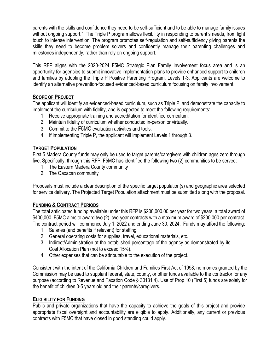parents with the skills and confidence they need to be self-sufficient and to be able to manage family issues without ongoing support." The Triple P program allows flexibility in responding to parent's needs, from light touch to intense intervention. The program promotes self-regulation and self-sufficiency giving parents the skills they need to become problem solvers and confidently manage their parenting challenges and milestones independently, rather than rely on ongoing support.

This RFP aligns with the 2020-2024 F5MC Strategic Plan Family Involvement focus area and is an opportunity for agencies to submit innovative implementation plans to provide enhanced support to children and families by adopting the Triple P Positive Parenting Program, Levels 1-3. Applicants are welcome to identify an alternative prevention-focused evidenced-based curriculum focusing on family involvement.

#### **SCOPE OF PROJECT**

The applicant will identify an evidenced-based curriculum, such as Triple P, and demonstrate the capacity to implement the curriculum with fidelity, and is expected to meet the following requirements:

- 1. Receive appropriate training and accreditation for identified curriculum.
- 2. Maintain fidelity of curriculum whether conducted in-person or virtually.
- 3. Commit to the F5MC evaluation activities and tools.
- 4. If implementing Triple P, the applicant will implement Levels 1 through 3.

#### **TARGET POPULATION**

First 5 Madera County funds may only be used to target parents/caregivers with children ages zero through five. Specifically, through this RFP, F5MC has identified the following two (2) communities to be served:

- 1. The Eastern Madera County community
- 2. The Oaxacan community

Proposals must include a clear description of the specific target population(s) and geographic area selected for service delivery. The Projected Target Population attachment must be submitted along with the proposal.

#### **FUNDING & CONTRACT PERIODS**

The total anticipated funding available under this RFP is \$200,000.00 per year for two years; a total award of \$400,000. F5MC aims to award two (2), two-year contracts with a maximum award of \$200,000 per contract. The contract period will commence July 1, 2022 and ending June 30, 2024. Funds may afford the following:

- 1. Salaries (and benefits if relevant) for staffing.
- 2. General operating costs for supplies, travel, educational materials, etc.
- 3. Indirect/Administration at the established percentage of the agency as demonstrated by its Cost Allocation Plan (not to exceed 15%).
- 4. Other expenses that can be attributable to the execution of the project.

Consistent with the intent of the California Children and Families First Act of 1998, no monies granted by the Commission may be used to supplant federal, state, county, or other funds available to the contractor for any purpose (according to Revenue and Taxation Code § 30131.4). Use of Prop 10 (First 5) funds are solely for the benefit of children 0-5 years old and their parents/caregivers.

#### **ELIGIBILITY FOR FUNDING**

Public and private organizations that have the capacity to achieve the goals of this project and provide appropriate fiscal oversight and accountability are eligible to apply. Additionally, any current or previous contracts with F5MC that have closed in good standing could apply.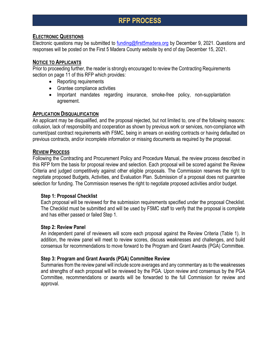## **RFP PROCESS**

#### **ELECTRONIC QUESTIONS**

Electronic questions may be submitted to [funding@first5madera.org](mailto:funding@first5madera.org) by December 9, 2021. Questions and responses will be posted on the First 5 Madera County website by end of day December 15, 2021.

#### **NOTICE TO APPLICANTS**

Prior to proceeding further, the reader is strongly encouraged to review the Contracting Requirements section on page 11 of this RFP which provides:

- Reporting requirements
- Grantee compliance activities
- Important mandates regarding insurance, smoke-free policy, non-supplantation agreement.

#### **APPLICATION DISQUALIFICATION**

An applicant may be disqualified, and the proposal rejected, but not limited to, one of the following reasons: collusion, lack of responsibility and cooperation as shown by previous work or services, non-compliance with current/past contract requirements with F5MC, being in arrears on existing contracts or having defaulted on previous contracts, and/or incomplete information or missing documents as required by the proposal.

#### **REVIEW PROCESS**

Following the Contracting and Procurement Policy and Procedure Manual, the review process described in this RFP form the basis for proposal review and selection. Each proposal will be scored against the Review Criteria and judged competitively against other eligible proposals. The Commission reserves the right to negotiate proposed Budgets, Activities, and Evaluation Plan. Submission of a proposal does not guarantee selection for funding. The Commission reserves the right to negotiate proposed activities and/or budget.

#### **Step 1: Proposal Checklist**

Each proposal will be reviewed for the submission requirements specified under the proposal Checklist. The Checklist must be submitted and will be used by F5MC staff to verify that the proposal is complete and has either passed or failed Step 1.

#### **Step 2: Review Panel**

An independent panel of reviewers will score each proposal against the Review Criteria (Table 1). In addition, the review panel will meet to review scores, discuss weaknesses and challenges, and build consensus for recommendations to move forward to the Program and Grant Awards (PGA) Committee.

#### **Step 3: Program and Grant Awards (PGA) Committee Review**

Summaries from the review panel will include score averages and any commentary as to the weaknesses and strengths of each proposal will be reviewed by the PGA. Upon review and consensus by the PGA Committee, recommendations or awards will be forwarded to the full Commission for review and approval.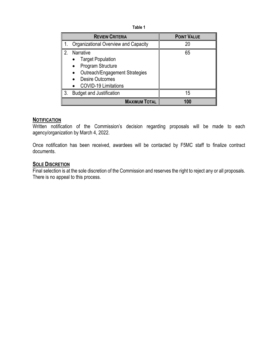**Table 1**

|                      | <b>REVIEW CRITERIA</b>                                                                                                                                | <b>POINT VALUE</b> |
|----------------------|-------------------------------------------------------------------------------------------------------------------------------------------------------|--------------------|
|                      | Organizational Overview and Capacity                                                                                                                  | 20                 |
| 2.                   | Narrative<br><b>Target Population</b><br>Program Structure<br>Outreach/Engagement Strategies<br><b>Desire Outcomes</b><br><b>COVID-19 Limitations</b> | 65                 |
| 3.                   | <b>Budget and Justification</b>                                                                                                                       | 15                 |
| <b>MAXIMUM TOTAL</b> |                                                                                                                                                       | 100                |

#### **NOTIFICATION**

Written notification of the Commission's decision regarding proposals will be made to each agency/organization by March 4, 2022.

Once notification has been received, awardees will be contacted by F5MC staff to finalize contract documents.

#### **SOLE DISCRETION**

Final selection is at the sole discretion of the Commission and reserves the right to reject any or all proposals. There is no appeal to this process.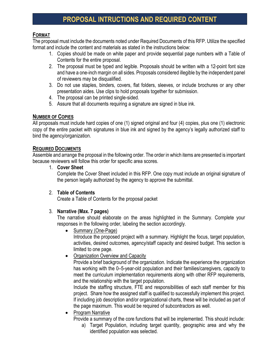## **PROPOSAL INTRUCTIONS AND REQUIRED CONTENT**

#### **FORMAT**

The proposal must include the documents noted under Required Documents of this RFP. Utilize the specified format and include the content and materials as stated in the instructions below:

- 1. Copies should be made on white paper and provide sequential page numbers with a Table of Contents for the entire proposal.
- 2. The proposal must be typed and legible. Proposals should be written with a 12-point font size and have a one-inch margin on all sides. Proposals considered illegible by the independent panel of reviewers may be disqualified.
- 3. Do not use staples, binders, covers, flat folders, sleeves, or include brochures or any other presentation aides. Use clips to hold proposals together for submission.
- 4. The proposal can be printed single-sided.
- 5. Assure that all documents requiring a signature are signed in blue ink.

#### **NUMBER OF COPIES**

All proposals must include hard copies of one (1) signed original and four (4) copies, plus one (1) electronic copy of the entire packet with signatures in blue ink and signed by the agency's legally authorized staff to bind the agency/organization.

#### **REQUIRED DOCUMENTS**

Assemble and arrange the proposal in the following order. The order in which items are presented is important because reviewers will follow this order for specific area scores.

1. **Cover Sheet**

Complete the Cover Sheet included in this RFP. One copy must include an original signature of the person legally authorized by the agency to approve the submittal.

#### 2. **Table of Contents**

Create a Table of Contents for the proposal packet

#### 3. **Narrative (Max. 7 pages)**

The narrative should elaborate on the areas highlighted in the Summary. Complete your responses in the following order, labeling the section accordingly.

• Summary (One-Page)

Introduce the proposed project with a summary. Highlight the focus, target population, activities, desired outcomes, agency/staff capacity and desired budget. This section is limited to one page.

• Organization Overview and Capacity

Provide a brief background of the organization. Indicate the experience the organization has working with the 0-5-year-old population and their families/caregivers, capacity to meet the curriculum implementation requirements along with other RFP requirements, and the relationship with the target population.

Include the staffing structure, FTE and responsibilities of each staff member for this project. Share how the assigned staff is qualified to successfully implement this project. If including job description and/or organizational charts, these will be included as part of the page maximum. This would be required of subcontractors as well.

• Program Narrative

Provide a summary of the core functions that will be implemented. This should include:

a) Target Population, including target quantity, geographic area and why the identified population was selected.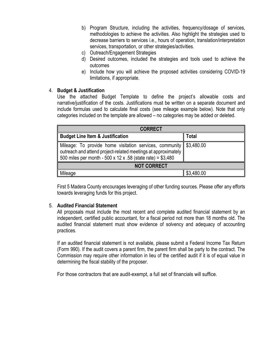- b) Program Structure, including the activities, frequency/dosage of services, methodologies to achieve the activities. Also highlight the strategies used to decrease barriers to services i.e., hours of operation, translation/interpretation services, transportation, or other strategies/activities.
- c) Outreach/Engagement Strategies
- d) Desired outcomes, included the strategies and tools used to achieve the outcomes
- e) Include how you will achieve the proposed activities considering COVID-19 limitations, if appropriate.

#### 4. **Budget & Justification**

Use the attached Budget Template to define the project's allowable costs and narrative/justification of the costs. Justifications must be written on a separate document and include formulas used to calculate final costs (see mileage example below). Note that only categories included on the template are allowed – no categories may be added or deleted.

| <b>CORRECT</b>                                                                                                                                                                                          |            |  |  |
|---------------------------------------------------------------------------------------------------------------------------------------------------------------------------------------------------------|------------|--|--|
| Budget Line Item & Justification                                                                                                                                                                        | Total      |  |  |
| ∥ Mileage: To provide home visitation services, community    \$3,480.00<br>outreach and attend project-related meetings at approximately<br>500 miles per month - 500 x 12 x .58 (state rate) = \$3,480 |            |  |  |
| <b>NOT CORRECT</b>                                                                                                                                                                                      |            |  |  |
| Mileage                                                                                                                                                                                                 | \$3,480.00 |  |  |

First 5 Madera County encourages leveraging of other funding sources. Please offer any efforts towards leveraging funds for this project.

#### 5. **Audited Financial Statement**

All proposals must include the most recent and complete audited financial statement by an independent, certified public accountant, for a fiscal period not more than 18 months old. The audited financial statement must show evidence of solvency and adequacy of accounting practices.

If an audited financial statement is not available, please submit a Federal Income Tax Return (Form 990). If the audit covers a parent firm, the parent firm shall be party to the contract. The Commission may require other information in lieu of the certified audit if it is of equal value in determining the fiscal stability of the proposer.

For those contractors that are audit-exempt, a full set of financials will suffice.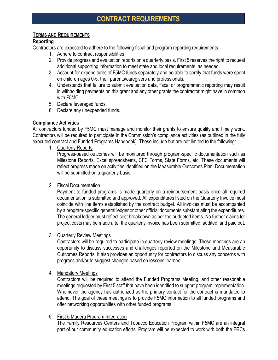#### **TERMS AND REQUIREMENTS**

#### **Reporting**

Contractors are expected to adhere to the following fiscal and program reporting requirements:

- 1. Adhere to contract responsibilities.
- 2. Provide progress and evaluation reports on a quarterly basis. First 5 reserves the right to request additional supporting information to meet state and local requirements, as needed.
- 3. Account for expenditures of F5MC funds separately and be able to certify that funds were spent on children ages 0-5, their parents/caregivers and professionals.
- 4. Understands that failure to submit evaluation data, fiscal or programmatic reporting may result in withholding payments on this grant and any other grants the contractor might have in common with F5MC.
- 5. Declare leveraged funds.
- 6. Declare any unexpended funds.

#### **Compliance Activities**

All contractors funded by F5MC must manage and monitor their grants to ensure quality and timely work. Contractors will be required to participate in the Commission's compliance activities (as outlined in the fully executed contract and Funded Programs Handbook). These include but are not limited to the following:

1. Quarterly Reports

Progress-based outcomes will be monitored through program-specific documentation such as Milestone Reports, Excel spreadsheets, CFC Forms, State Forms, etc. These documents will reflect progress made on activities identified on the Measurable Outcomes Plan. Documentation will be submitted on a quarterly basis.

#### 2. Fiscal Documentation

Payment to funded programs is made quarterly on a reimbursement basis once all required documentation is submitted and approved. All expenditures listed on the Quarterly Invoice must coincide with line items established by the contract budget. All invoices must be accompanied by a program-specific general ledger or other official documents substantiating the expenditures. The general ledger must reflect cost breakdown as per the budgeted items. No further claims for project costs may be made after the quarterly invoice has been submitted, audited, and paid out.

#### 3. Quarterly Review Meetings

Contractors will be required to participate in quarterly review meetings. These meetings are an opportunity to discuss successes and challenges reported on the Milestone and Measurable Outcomes Reports. It also provides an opportunity for contractors to discuss any concerns with progress and/or to suggest changes based on lessons learned.

4. Mandatory Meetings

Contractors will be required to attend the Funded Programs Meeting, and other reasonable meetings requested by First 5 staff that have been identified to support program implementation. Whomever the agency has authorized as the primary contact for the contract is mandated to attend. The goal of these meetings is to provide F5MC information to all funded programs and offer networking opportunities with other funded programs.

5. First 5 Madera Program Integration

The Family Resources Centers and Tobacco Education Program within F5MC are an integral part of our community education efforts. Program will be expected to work with both the FRCs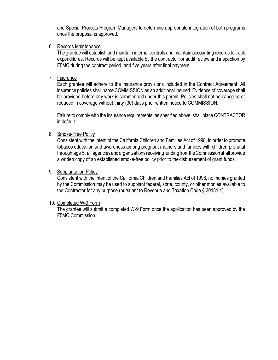and Special Projects Program Managers to determine appropriate integration of both programs once the proposal is approved.

6. Records Maintenance

The grantee will establish and maintain internal controls and maintain accounting records to track expenditures. Records will be kept available by the contractor for audit review and inspection by F5MC during the contract period, and five years after final payment.

7. Insurance

Each grantee will adhere to the insurance provisions included in the Contract Agreement. All insurance policies shall name COMMISSION as an additional insured. Evidence of coverage shall be provided before any work is commenced under this permit. Policies shall not be canceled or reduced in coverage without thirty (30) days prior written notice to COMMISSION.

Failure to comply with the insurance requirements, as specified above, shall place CONTRACTOR in default.

8. Smoke-Free Policy

Consistent with the intent of the California Children and Families Act of 1998, in order to promote tobacco education and awareness among pregnant mothers and families with children prenatal through age 5, all agenciesandorganizations receivingfundingfromtheCommission shallprovide a written copy of an established smoke-free policy prior to the disbursement of grant funds.

9. Supplantation Policy

Consistent with the intent of the California Children and Families Act of 1998, no monies granted by the Commission may be used to supplant federal, state, county, or other monies available to the Contractor for any purpose (pursuant to Revenue and Taxation Code § 30131.4).

#### 10. Completed W-9 Form

The grantee will submit a completed W-9 Form once the application has been approved by the F5MC Commission.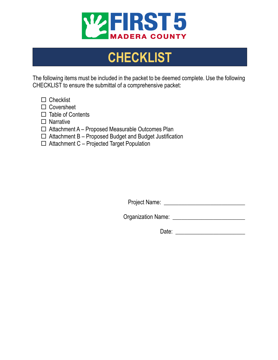

# **CHECKLIST**

The following items must be included in the packet to be deemed complete. Use the following CHECKLIST to ensure the submittal of a comprehensive packet:

- $\Box$  Checklist
- □ Coversheet
- $\Box$  Table of Contents
- $\Box$  Narrative
- $\Box$  Attachment A Proposed Measurable Outcomes Plan
- $\Box$  Attachment B Proposed Budget and Budget Justification
- $\Box$  Attachment C Projected Target Population

Project Name: \_\_\_\_\_\_\_\_\_\_\_\_\_\_\_\_\_\_\_\_\_\_\_\_\_\_\_\_

Organization Name: \_\_\_\_\_\_\_\_\_\_\_\_\_\_\_\_\_\_\_\_\_\_\_\_\_

Date: \_\_\_\_\_\_\_\_\_\_\_\_\_\_\_\_\_\_\_\_\_\_\_\_